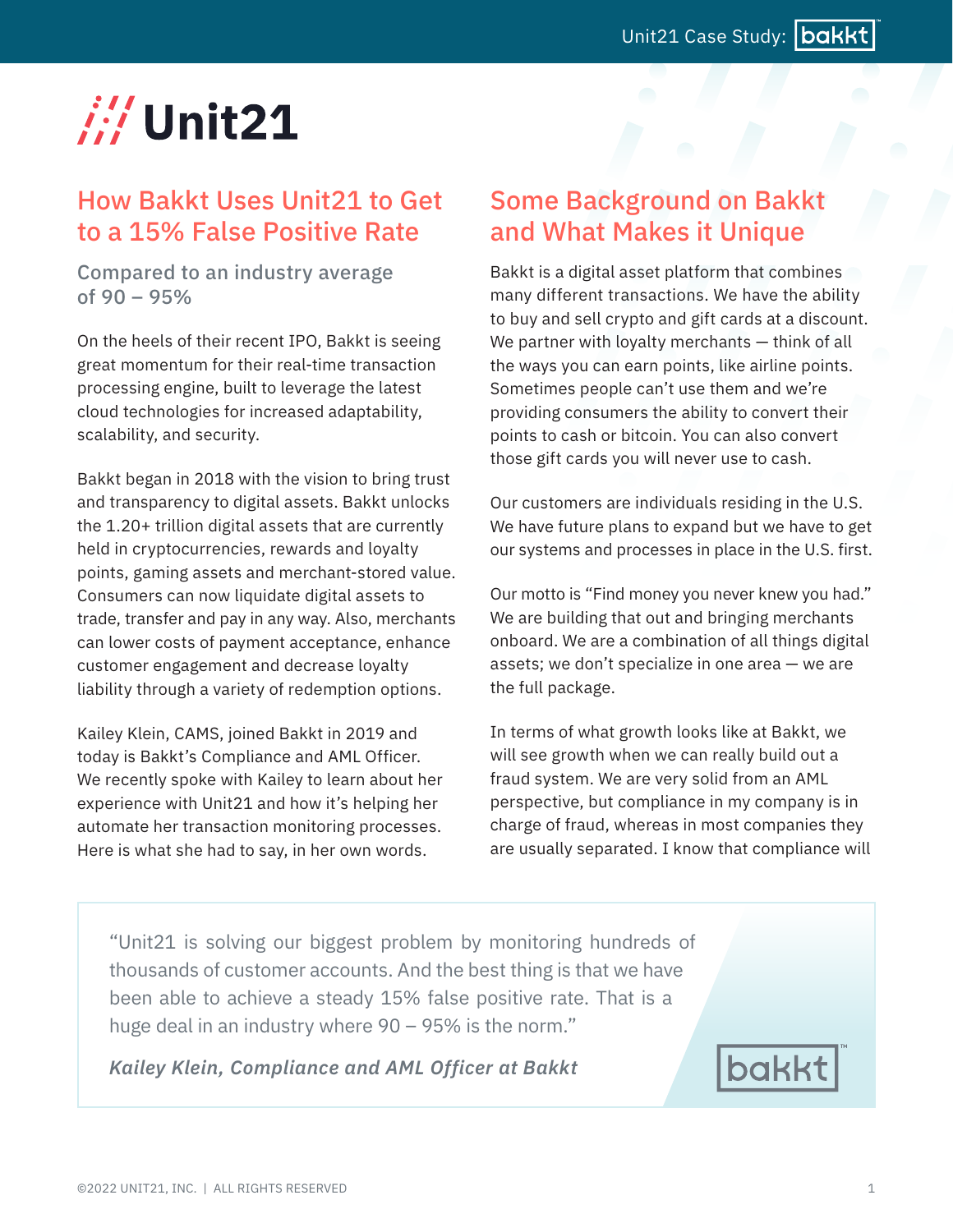# $\#$  Unit21

### How Bakkt Uses Unit21 to Get to a 15% False Positive Rate

Compared to an industry average of 90 – 95%

On the heels of their recent IPO, Bakkt is seeing great momentum for their real-time transaction processing engine, built to leverage the latest cloud technologies for increased adaptability, scalability, and security.

Bakkt began in 2018 with the vision to bring trust and transparency to digital assets. Bakkt unlocks the 1.20+ trillion digital assets that are currently held in cryptocurrencies, rewards and loyalty points, gaming assets and merchant-stored value. Consumers can now liquidate digital assets to trade, transfer and pay in any way. Also, merchants can lower costs of payment acceptance, enhance customer engagement and decrease loyalty liability through a variety of redemption options.

Kailey Klein, CAMS, joined Bakkt in 2019 and today is Bakkt's Compliance and AML Officer. We recently spoke with Kailey to learn about her experience with Unit21 and how it's helping her automate her transaction monitoring processes. Here is what she had to say, in her own words.

### Some Background on Bakkt and What Makes it Unique

Bakkt is a digital asset platform that combines many different transactions. We have the ability to buy and sell crypto and gift cards at a discount. We partner with loyalty merchants – think of all the ways you can earn points, like airline points. Sometimes people can't use them and we're providing consumers the ability to convert their points to cash or bitcoin. You can also convert those gift cards you will never use to cash.

Our customers are individuals residing in the U.S. We have future plans to expand but we have to get our systems and processes in place in the U.S. first.

Our motto is "Find money you never knew you had." We are building that out and bringing merchants onboard. We are a combination of all things digital assets; we don't specialize in one area — we are the full package.

In terms of what growth looks like at Bakkt, we will see growth when we can really build out a fraud system. We are very solid from an AML perspective, but compliance in my company is in charge of fraud, whereas in most companies they are usually separated. I know that compliance will

"Unit21 is solving our biggest problem by monitoring hundreds of thousands of customer accounts. And the best thing is that we have been able to achieve a steady 15% false positive rate. That is a huge deal in an industry where 90 – 95% is the norm."

*Kailey Klein, Compliance and AML Officer at Bakkt*

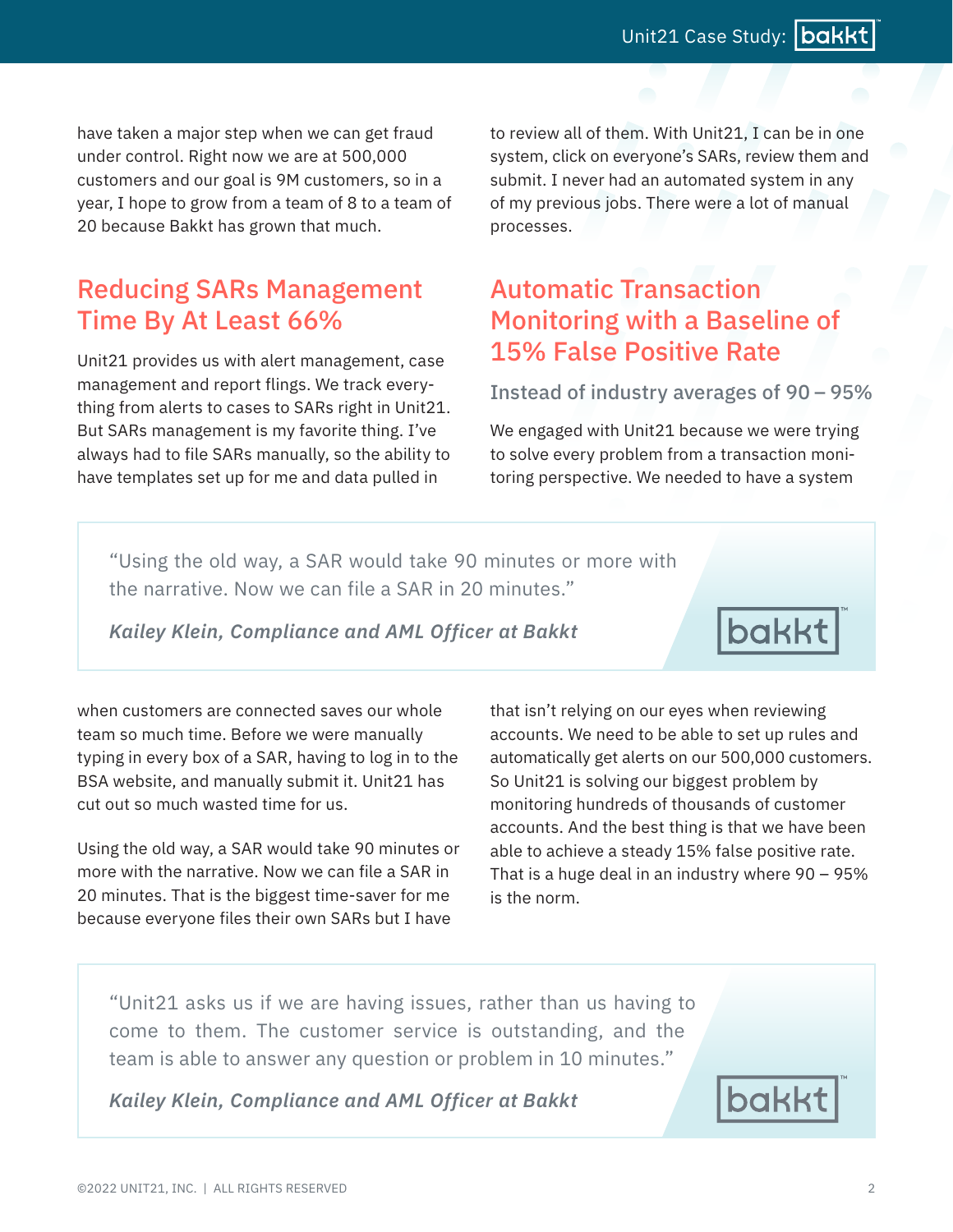have taken a major step when we can get fraud under control. Right now we are at 500,000 customers and our goal is 9M customers, so in a year, I hope to grow from a team of 8 to a team of 20 because Bakkt has grown that much.

### Reducing SARs Management Time By At Least 66%

Unit21 provides us with alert management, case management and report flings. We track everything from alerts to cases to SARs right in Unit21. But SARs management is my favorite thing. I've always had to file SARs manually, so the ability to have templates set up for me and data pulled in

to review all of them. With Unit21, I can be in one system, click on everyone's SARs, review them and submit. I never had an automated system in any of my previous jobs. There were a lot of manual processes.

### Automatic Transaction Monitoring with a Baseline of 15% False Positive Rate

#### Instead of industry averages of 90 – 95%

We engaged with Unit21 because we were trying to solve every problem from a transaction monitoring perspective. We needed to have a system

"Using the old way, a SAR would take 90 minutes or more with the narrative. Now we can file a SAR in 20 minutes."

*Kailey Klein, Compliance and AML Officer at Bakkt*

bakkt

when customers are connected saves our whole team so much time. Before we were manually typing in every box of a SAR, having to log in to the BSA website, and manually submit it. Unit21 has cut out so much wasted time for us.

Using the old way, a SAR would take 90 minutes or more with the narrative. Now we can file a SAR in 20 minutes. That is the biggest time-saver for me because everyone files their own SARs but I have

that isn't relying on our eyes when reviewing accounts. We need to be able to set up rules and automatically get alerts on our 500,000 customers. So Unit21 is solving our biggest problem by monitoring hundreds of thousands of customer accounts. And the best thing is that we have been able to achieve a steady 15% false positive rate. That is a huge deal in an industry where 90 – 95% is the norm.

"Unit21 asks us if we are having issues, rather than us having to come to them. The customer service is outstanding, and the team is able to answer any question or problem in 10 minutes."

*Kailey Klein, Compliance and AML Officer at Bakkt*

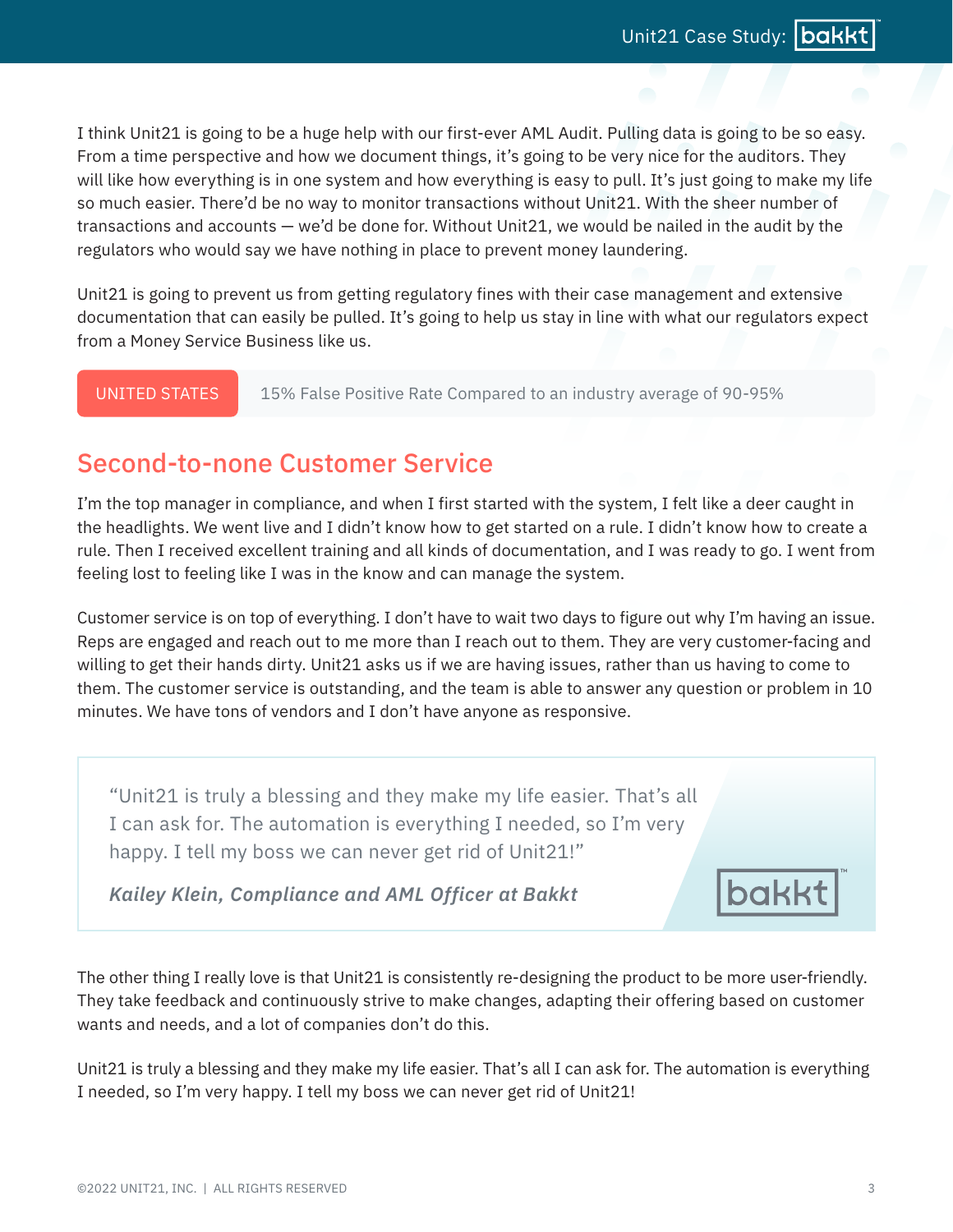I think Unit21 is going to be a huge help with our first-ever AML Audit. Pulling data is going to be so easy. From a time perspective and how we document things, it's going to be very nice for the auditors. They will like how everything is in one system and how everything is easy to pull. It's just going to make my life so much easier. There'd be no way to monitor transactions without Unit21. With the sheer number of transactions and accounts — we'd be done for. Without Unit21, we would be nailed in the audit by the regulators who would say we have nothing in place to prevent money laundering.

Unit21 is going to prevent us from getting regulatory fines with their case management and extensive documentation that can easily be pulled. It's going to help us stay in line with what our regulators expect from a Money Service Business like us.

UNITED STATES 15% False Positive Rate Compared to an industry average of 90-95%

## Second-to-none Customer Service

I'm the top manager in compliance, and when I first started with the system, I felt like a deer caught in the headlights. We went live and I didn't know how to get started on a rule. I didn't know how to create a rule. Then I received excellent training and all kinds of documentation, and I was ready to go. I went from feeling lost to feeling like I was in the know and can manage the system.

Customer service is on top of everything. I don't have to wait two days to figure out why I'm having an issue. Reps are engaged and reach out to me more than I reach out to them. They are very customer-facing and willing to get their hands dirty. Unit21 asks us if we are having issues, rather than us having to come to them. The customer service is outstanding, and the team is able to answer any question or problem in 10 minutes. We have tons of vendors and I don't have anyone as responsive.

"Unit21 is truly a blessing and they make my life easier. That's all I can ask for. The automation is everything I needed, so I'm very happy. I tell my boss we can never get rid of Unit21!"

*Kailey Klein, Compliance and AML Officer at Bakkt*

The other thing I really love is that Unit21 is consistently re-designing the product to be more user-friendly. They take feedback and continuously strive to make changes, adapting their offering based on customer wants and needs, and a lot of companies don't do this.

Unit21 is truly a blessing and they make my life easier. That's all I can ask for. The automation is everything I needed, so I'm very happy. I tell my boss we can never get rid of Unit21!

bakkt